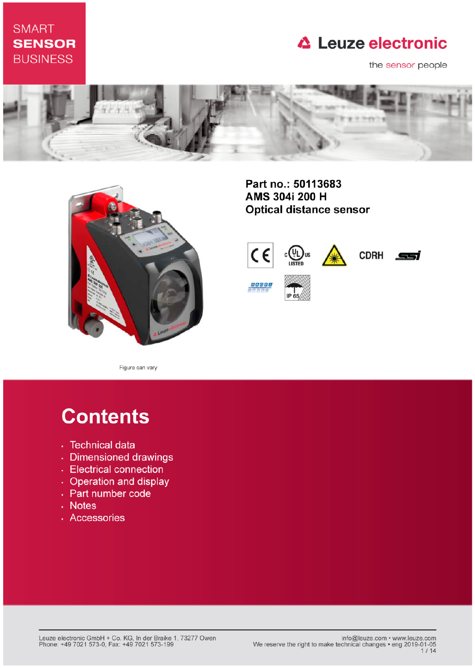## **SMART SENSOR BUSINESS**

## **△ Leuze electronic**

the sensor people





Part no.: 50113683 AMS 304i 200 H **Optical distance sensor** 



Figure can vary

# **Contents**

- · Technical data
- · Dimensioned drawings
- Electrical connection
- Operation and display
- Part number code
- . Notes
- · Accessories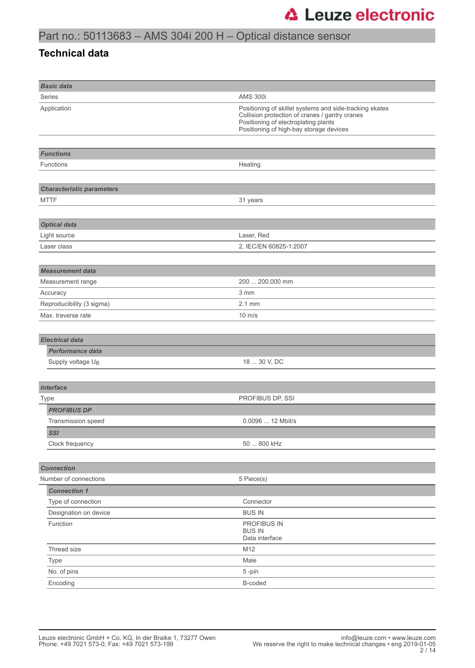### **Technical data**

| <b>Basic data</b>                |                                                                                                                                                                                              |
|----------------------------------|----------------------------------------------------------------------------------------------------------------------------------------------------------------------------------------------|
| Series                           | <b>AMS 300i</b>                                                                                                                                                                              |
| Application                      | Positioning of skillet systems and side-tracking skates<br>Collision protection of cranes / gantry cranes<br>Positioning of electroplating plants<br>Positioning of high-bay storage devices |
|                                  |                                                                                                                                                                                              |
| <b>Functions</b>                 |                                                                                                                                                                                              |
| <b>Functions</b>                 | Heating                                                                                                                                                                                      |
|                                  |                                                                                                                                                                                              |
| <b>Characteristic parameters</b> |                                                                                                                                                                                              |
| <b>MTTF</b>                      | 31 years                                                                                                                                                                                     |
|                                  |                                                                                                                                                                                              |
| <b>Optical data</b>              |                                                                                                                                                                                              |
| Light source                     | Laser, Red                                                                                                                                                                                   |
| Laser class                      | 2, IEC/EN 60825-1:2007                                                                                                                                                                       |
|                                  |                                                                                                                                                                                              |
| <b>Measurement data</b>          |                                                                                                                                                                                              |
| Measurement range                | 200  200,000 mm                                                                                                                                                                              |
| Accuracy                         | 3 mm                                                                                                                                                                                         |
| Reproducibility (3 sigma)        | $2.1$ mm                                                                                                                                                                                     |
| Max. traverse rate               | $10 \text{ m/s}$                                                                                                                                                                             |
|                                  |                                                                                                                                                                                              |
| <b>Electrical data</b>           |                                                                                                                                                                                              |
| <b>Performance data</b>          |                                                                                                                                                                                              |
| Supply voltage U <sub>B</sub>    | 18  30 V, DC                                                                                                                                                                                 |
|                                  |                                                                                                                                                                                              |
| <b>Interface</b>                 |                                                                                                                                                                                              |
| Type                             | PROFIBUS DP, SSI                                                                                                                                                                             |
| <b>PROFIBUS DP</b>               |                                                                                                                                                                                              |
| Transmission speed               | 0.0096  12 Mbit/s                                                                                                                                                                            |
| <b>SSI</b>                       |                                                                                                                                                                                              |
| Clock frequency                  | 50  800 kHz                                                                                                                                                                                  |
|                                  |                                                                                                                                                                                              |
| <b>Connection</b>                |                                                                                                                                                                                              |
| Number of connections            | 5 Piece(s)                                                                                                                                                                                   |
| <b>Connection 1</b>              |                                                                                                                                                                                              |
| Type of connection               | Connector                                                                                                                                                                                    |
| Designation on device            | <b>BUS IN</b>                                                                                                                                                                                |
| Function                         | PROFIBUS IN<br><b>BUS IN</b><br>Data interface                                                                                                                                               |
| Thread size                      | M12                                                                                                                                                                                          |
| Type                             | Male                                                                                                                                                                                         |
| No. of pins                      | 5-pin                                                                                                                                                                                        |
| Encoding                         | B-coded                                                                                                                                                                                      |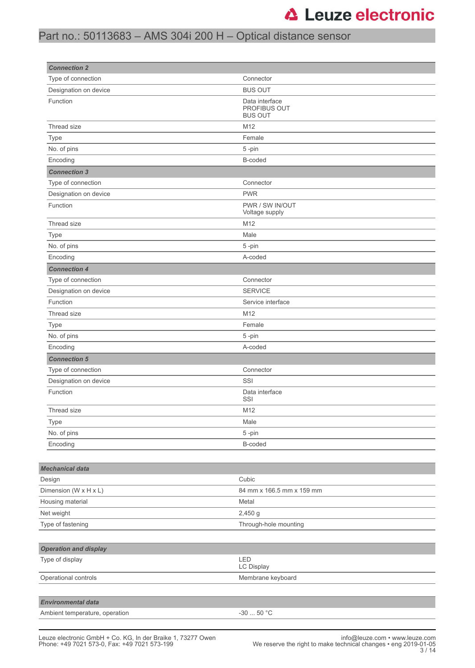## Part no.: 50113683 – AMS 304i 200 H – Optical distance sensor

| <b>Connection 2</b>            |                                                  |
|--------------------------------|--------------------------------------------------|
| Type of connection             | Connector                                        |
| Designation on device          | <b>BUS OUT</b>                                   |
| Function                       | Data interface<br>PROFIBUS OUT<br><b>BUS OUT</b> |
| Thread size                    | M12                                              |
| <b>Type</b>                    | Female                                           |
| No. of pins                    | 5-pin                                            |
| Encoding                       | B-coded                                          |
| <b>Connection 3</b>            |                                                  |
| Type of connection             | Connector                                        |
| Designation on device          | <b>PWR</b>                                       |
| Function                       | PWR / SW IN/OUT<br>Voltage supply                |
| Thread size                    | M12                                              |
| Type                           | Male                                             |
| No. of pins                    | 5-pin                                            |
| Encoding                       | A-coded                                          |
| <b>Connection 4</b>            |                                                  |
| Type of connection             | Connector                                        |
| Designation on device          | <b>SERVICE</b>                                   |
| Function                       | Service interface                                |
| Thread size                    | M12                                              |
| Type                           | Female                                           |
| No. of pins                    | 5-pin                                            |
| Encoding                       | A-coded                                          |
| <b>Connection 5</b>            |                                                  |
| Type of connection             | Connector                                        |
| Designation on device          | SSI                                              |
| Function                       | Data interface<br>SSI                            |
| Thread size                    | M12                                              |
| Type                           | Male                                             |
| No. of pins                    | 5-pin                                            |
| Encoding                       | B-coded                                          |
|                                |                                                  |
| <b>Mechanical data</b>         |                                                  |
| Design                         | Cubic                                            |
| Dimension (W x H x L)          | 84 mm x 166.5 mm x 159 mm                        |
| Housing material               | Metal                                            |
| Net weight                     | $2,450$ g                                        |
| Type of fastening              | Through-hole mounting                            |
|                                |                                                  |
| <b>Operation and display</b>   |                                                  |
| Type of display                | LED<br>LC Display                                |
| Operational controls           | Membrane keyboard                                |
|                                |                                                  |
| <b>Environmental data</b>      |                                                  |
| Ambient temperature, operation | -30 $\ldots$ 50 °C                               |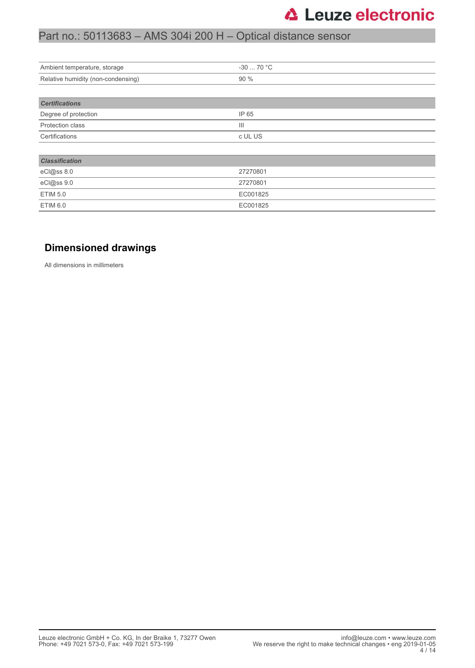## Part no.: 50113683 – AMS 304i 200 H – Optical distance sensor

| Ambient temperature, storage       | $-3070 °C$     |
|------------------------------------|----------------|
| Relative humidity (non-condensing) | 90 %           |
|                                    |                |
| <b>Certifications</b>              |                |
| Degree of protection               | IP 65          |
| Protection class                   | $\mathbf{III}$ |
| Certifications                     | c UL US        |
|                                    |                |
| <b>Classification</b>              |                |
| eCl@ss 8.0                         | 27270801       |
| eCl@ss 9.0                         | 27270801       |
| <b>ETIM 5.0</b>                    | EC001825       |
| <b>ETIM 6.0</b>                    | EC001825       |

### **Dimensioned drawings**

All dimensions in millimeters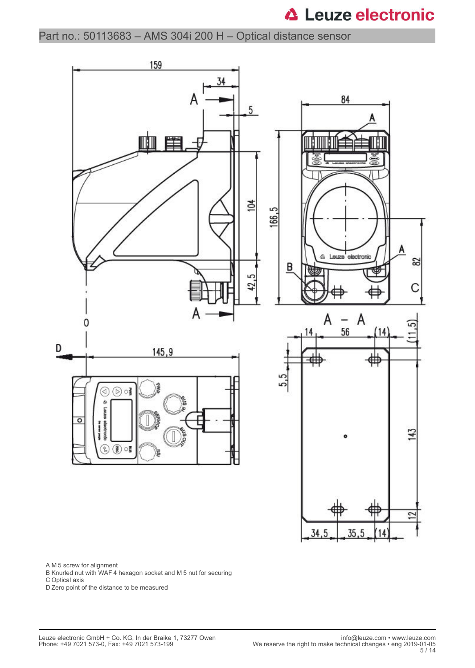Part no.: 50113683 – AMS 304i 200 H – Optical distance sensor



A M 5 screw for alignment

B Knurled nut with WAF 4 hexagon socket and M 5 nut for securing

C Optical axis

D Zero point of the distance to be measured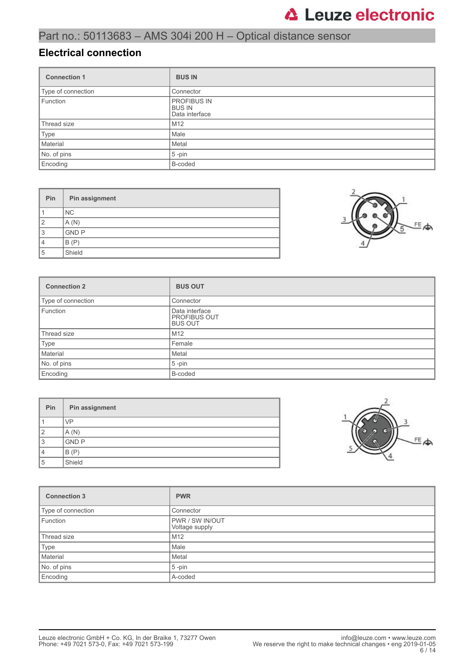### **Electrical connection**

| <b>Connection 1</b> | <b>BUS IN</b>                                         |
|---------------------|-------------------------------------------------------|
| Type of connection  | Connector                                             |
| Function            | <b>PROFIBUS IN</b><br><b>BUS IN</b><br>Data interface |
| Thread size         | M <sub>12</sub>                                       |
| Type                | Male                                                  |
| Material            | Metal                                                 |
| No. of pins         | $5$ -pin                                              |
| Encoding            | B-coded                                               |

| Pin            | Pin assignment |
|----------------|----------------|
|                | NC.            |
| $\overline{2}$ | A(N)           |
| 3              | <b>GND P</b>   |
| 4              | B(P)           |
| 5              | Shield         |



| <b>Connection 2</b> | <b>BUS OUT</b>                                          |
|---------------------|---------------------------------------------------------|
| Type of connection  | Connector                                               |
| Function            | Data interface<br><b>PROFIBUS OUT</b><br><b>BUS OUT</b> |
| Thread size         | M12                                                     |
| Type                | Female                                                  |
| Material            | Metal                                                   |
| No. of pins         | $5 - pin$                                               |
| Encoding            | B-coded                                                 |

| Pin | Pin assignment |
|-----|----------------|
|     | <b>VP</b>      |
| 2   | A(N)           |
| 3   | <b>GND P</b>   |
| 4   | B(P)           |
| 5   | Shield         |



| <b>Connection 3</b> | <b>PWR</b>                               |
|---------------------|------------------------------------------|
| Type of connection  | Connector                                |
| Function            | <b>PWR / SW IN/OUT</b><br>Voltage supply |
| Thread size         | M <sub>12</sub>                          |
| Type                | Male                                     |
| Material            | Metal                                    |
| No. of pins         | $5$ -pin                                 |
| Encoding            | A-coded                                  |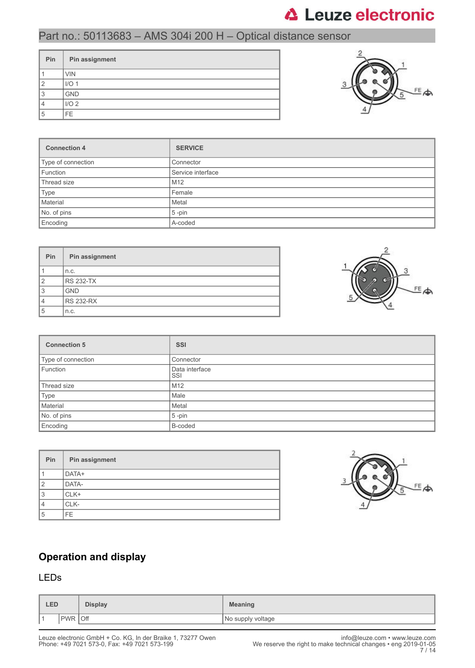## Part no.: 50113683 – AMS 304i 200 H – Optical distance sensor

| Pin | Pin assignment   |
|-----|------------------|
|     | <b>VIN</b>       |
| 2   | I/O <sub>1</sub> |
| 3   | <b>GND</b>       |
|     | I/O <sub>2</sub> |
| 5   | FE.              |



| <b>Connection 4</b> | <b>SERVICE</b>    |
|---------------------|-------------------|
| Type of connection  | Connector         |
| Function            | Service interface |
| Thread size         | M <sub>12</sub>   |
| Type                | Female            |
| Material            | Metal             |
| No. of pins         | $5$ -pin          |
| Encoding            | A-coded           |

| <b>Pin</b>     | Pin assignment   |
|----------------|------------------|
|                | n.c.             |
| $\overline{2}$ | <b>RS 232-TX</b> |
| 3              | <b>GND</b>       |
| 4              | <b>RS 232-RX</b> |
| 5              | n.c.             |



| <b>Connection 5</b> | <b>SSI</b>            |
|---------------------|-----------------------|
| Type of connection  | Connector             |
| Function            | Data interface<br>SSI |
| Thread size         | M12                   |
| Type                | Male                  |
| Material            | Metal                 |
| No. of pins         | $5$ -pin              |
| Encoding            | B-coded               |

| Pin | Pin assignment |
|-----|----------------|
|     | DATA+          |
| 2   | DATA-          |
| 3   | CLK+           |
|     | CLK-           |
| 5   | FE.            |



## **Operation and display**

### LEDs

|     | <b>LED</b>               | <b>Display</b> | <b>Meaning</b>    |
|-----|--------------------------|----------------|-------------------|
| ∎ ⊣ | <b>Off</b><br><b>PWR</b> |                | No supply voltage |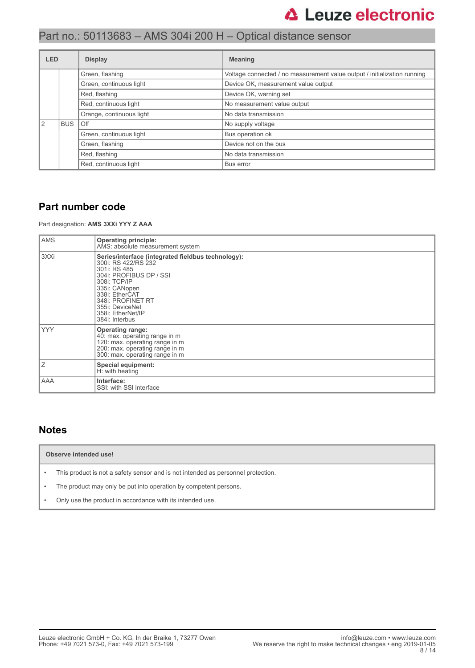## Part no.: 50113683 – AMS 304i 200 H – Optical distance sensor

| LED |                       | <b>Display</b>           | <b>Meaning</b>                                                           |
|-----|-----------------------|--------------------------|--------------------------------------------------------------------------|
|     |                       | Green, flashing          | Voltage connected / no measurement value output / initialization running |
|     |                       | Green, continuous light  | Device OK, measurement value output                                      |
|     | Red, flashing         |                          | Device OK, warning set                                                   |
|     | Red, continuous light |                          | No measurement value output                                              |
|     |                       | Orange, continuous light | No data transmission                                                     |
| 2   | <b>BUS</b>            | Off                      | No supply voltage                                                        |
|     |                       | Green, continuous light  | Bus operation ok                                                         |
|     |                       | Green, flashing          | Device not on the bus                                                    |
|     |                       | Red, flashing            | No data transmission                                                     |
|     |                       | Red, continuous light    | Bus error                                                                |

### **Part number code**

Part designation: **AMS 3XXi YYY Z AAA**

| <b>AMS</b> | <b>Operating principle:</b><br>AMS: absolute measurement system                                                                                                                                                                                        |
|------------|--------------------------------------------------------------------------------------------------------------------------------------------------------------------------------------------------------------------------------------------------------|
| 3XXi       | Series/interface (integrated fieldbus technology):<br>300i: RS 422/RS 232<br>301i: RS 485<br>304i: PROFIBUS DP / SSI<br>308i: TCP/IP<br>335i: CANopen<br>338i: EtherCAT<br>348i: PROFINET RT<br>355i: DeviceNet<br>358i: EtherNet/IP<br>384i: Interbus |
| <b>YYY</b> | <b>Operating range:</b><br>40: max. operating range in m<br>120: max. operating range in m<br>200: max. operating range in m<br>300: max. operating range in m                                                                                         |
| Ζ          | Special equipment:<br>H: with heating                                                                                                                                                                                                                  |
| AAA        | Interface:<br>SSI: with SSI interface                                                                                                                                                                                                                  |

### **Notes**

#### **Observe intended use!**

- This product is not a safety sensor and is not intended as personnel protection.
- The product may only be put into operation by competent persons.
- Only use the product in accordance with its intended use.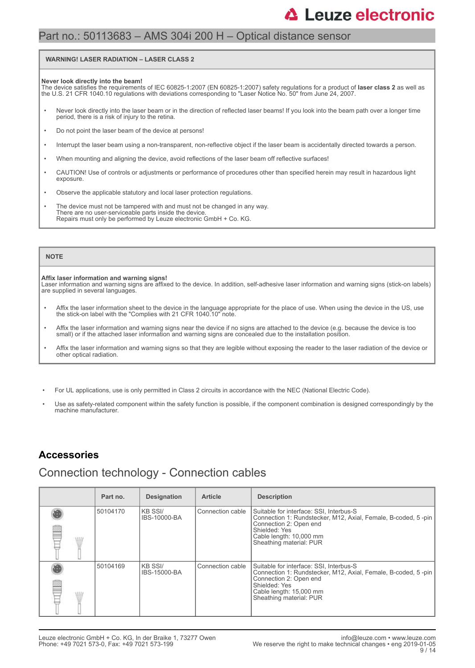### Part no.: 50113683 – AMS 304i 200 H – Optical distance sensor

#### **WARNING! LASER RADIATION – LASER CLASS 2**

#### **Never look directly into the beam!**

The device satisfies the requirements of IEC 60825-1:2007 (EN 60825-1:2007) safety regulations for a product of **laser class 2** as well as<br>the U.S. 21 CFR 1040.10 regulations with deviations corresponding to "Laser Notice

- Never look directly into the laser beam or in the direction of reflected laser beams! If you look into the beam path over a longer time period, there is a risk of injury to the retina.
- Do not point the laser beam of the device at persons!
- Interrupt the laser beam using a non-transparent, non-reflective object if the laser beam is accidentally directed towards a person.
- When mounting and aligning the device, avoid reflections of the laser beam off reflective surfaces!
- CAUTION! Use of controls or adjustments or performance of procedures other than specified herein may result in hazardous light exposure.
- Observe the applicable statutory and local laser protection regulations.
- The device must not be tampered with and must not be changed in any way. There are no user-serviceable parts inside the device. Repairs must only be performed by Leuze electronic GmbH + Co. KG.

#### **NOTE**

#### **Affix laser information and warning signs!**

Laser information and warning signs are affixed to the device. In addition, self-adhesive laser information and warning signs (stick-on labels) are supplied in several languages.

- Affix the laser information sheet to the device in the language appropriate for the place of use. When using the device in the US, use the stick-on label with the "Complies with 21 CFR 1040.10" note.
- Affix the laser information and warning signs near the device if no signs are attached to the device (e.g. because the device is too small) or if the attached laser information and warning signs are concealed due to the installation position.
- Affix the laser information and warning signs so that they are legible without exposing the reader to the laser radiation of the device or other optical radiation.
- For UL applications, use is only permitted in Class 2 circuits in accordance with the NEC (National Electric Code).
- Use as safety-related component within the safety function is possible, if the component combination is designed correspondingly by the machine manufacturer.

### **Accessories**

### Connection technology - Connection cables

| Part no. | <b>Designation</b>              | <b>Article</b>   | <b>Description</b>                                                                                                                                                                                        |
|----------|---------------------------------|------------------|-----------------------------------------------------------------------------------------------------------------------------------------------------------------------------------------------------------|
| 50104170 | IKB SSI/<br><b>IBS-10000-BA</b> | Connection cable | Suitable for interface: SSI, Interbus-S<br>Connection 1: Rundstecker, M12, Axial, Female, B-coded, 5-pin<br>Connection 2: Open end<br>Shielded: Yes<br>Cable length: 10,000 mm<br>Sheathing material: PUR |
| 50104169 | IKB SSI/<br>IBS-15000-BA        | Connection cable | Suitable for interface: SSI, Interbus-S<br>Connection 1: Rundstecker, M12, Axial, Female, B-coded, 5-pin<br>Connection 2: Open end<br>Shielded: Yes<br>Cable length: 15,000 mm<br>Sheathing material: PUR |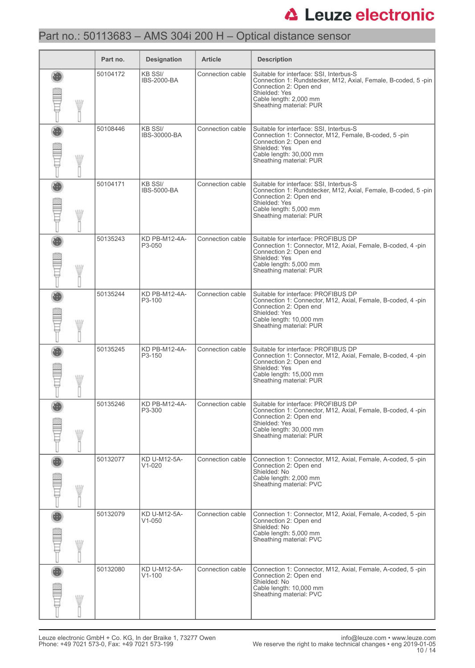## Part no.: 50113683 – AMS 304i 200 H – Optical distance sensor

|             | Part no. | <b>Designation</b>                   | <b>Article</b>   | <b>Description</b>                                                                                                                                                                                       |
|-------------|----------|--------------------------------------|------------------|----------------------------------------------------------------------------------------------------------------------------------------------------------------------------------------------------------|
| <b>MIII</b> | 50104172 | <b>KB SSI/</b><br><b>IBS-2000-BA</b> | Connection cable | Suitable for interface: SSI, Interbus-S<br>Connection 1: Rundstecker, M12, Axial, Female, B-coded, 5-pin<br>Connection 2: Open end<br>Shielded: Yes<br>Cable length: 2,000 mm<br>Sheathing material: PUR |
| W           | 50108446 | <b>KB SSI/</b><br>IBS-30000-BA       | Connection cable | Suitable for interface: SSI, Interbus-S<br>Connection 1: Connector, M12, Female, B-coded, 5-pin<br>Connection 2: Open end<br>Shielded: Yes<br>Cable length: 30,000 mm<br>Sheathing material: PUR         |
| W           | 50104171 | <b>KB SSI/</b><br><b>IBS-5000-BA</b> | Connection cable | Suitable for interface: SSI, Interbus-S<br>Connection 1: Rundstecker, M12, Axial, Female, B-coded, 5-pin<br>Connection 2: Open end<br>Shielded: Yes<br>Cable length: 5,000 mm<br>Sheathing material: PUR |
| W           | 50135243 | KD PB-M12-4A-<br>P3-050              | Connection cable | Suitable for interface: PROFIBUS DP<br>Connection 1: Connector, M12, Axial, Female, B-coded, 4-pin<br>Connection 2: Open end<br>Shielded: Yes<br>Cable length: 5,000 mm<br>Sheathing material: PUR       |
| W           | 50135244 | KD PB-M12-4A-<br>P3-100              | Connection cable | Suitable for interface: PROFIBUS DP<br>Connection 1: Connector, M12, Axial, Female, B-coded, 4-pin<br>Connection 2: Open end<br>Shielded: Yes<br>Cable length: 10,000 mm<br>Sheathing material: PUR      |
| W           | 50135245 | KD PB-M12-4A-<br>P3-150              | Connection cable | Suitable for interface: PROFIBUS DP<br>Connection 1: Connector, M12, Axial, Female, B-coded, 4-pin<br>Connection 2: Open end<br>Shielded: Yes<br>Cable length: 15,000 mm<br>Sheathing material: PUR      |
| W           | 50135246 | KD PB-M12-4A-<br>P3-300              | Connection cable | Suitable for interface: PROFIBUS DP<br>Connection 1: Connector, M12, Axial, Female, B-coded, 4-pin<br>Connection 2: Open end<br>Shielded: Yes<br>Cable length: 30,000 mm<br>Sheathing material: PUR      |
| WIII        | 50132077 | KD U-M12-5A-<br>$V1 - 020$           | Connection cable | Connection 1: Connector, M12, Axial, Female, A-coded, 5-pin<br>Connection 2: Open end<br>Shielded: No<br>Cable length: 2,000 mm<br>Sheathing material: PVC                                               |
| WIN         | 50132079 | KD U-M12-5A-<br>$V1 - 050$           | Connection cable | Connection 1: Connector, M12, Axial, Female, A-coded, 5-pin<br>Connection 2: Open end<br>Shielded: No<br>Cable length: 5,000 mm<br>Sheathing material: PVC                                               |
| WIN         | 50132080 | KD U-M12-5A-<br>$V1 - 100$           | Connection cable | Connection 1: Connector, M12, Axial, Female, A-coded, 5-pin<br>Connection 2: Open end<br>Shielded: No<br>Cable length: 10,000 mm<br>Sheathing material: PVC                                              |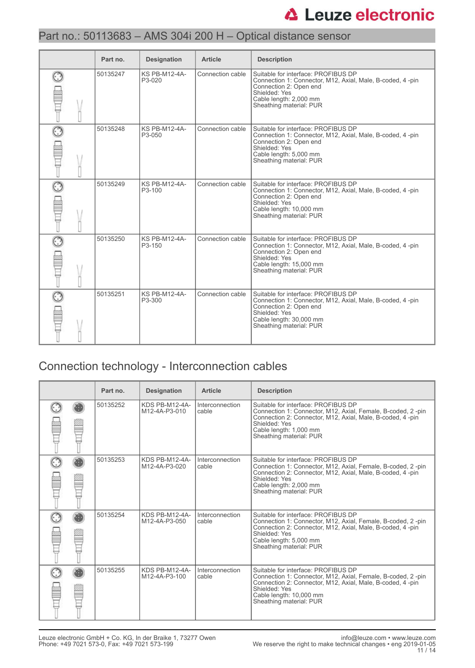## Part no.: 50113683 – AMS 304i 200 H – Optical distance sensor

| Part no. | <b>Designation</b>                          | <b>Article</b>   | <b>Description</b>                                                                                                                                                                                 |
|----------|---------------------------------------------|------------------|----------------------------------------------------------------------------------------------------------------------------------------------------------------------------------------------------|
| 50135247 | <b>KS PB-M12-4A-</b><br>P3-020              | Connection cable | Suitable for interface: PROFIBUS DP<br>Connection 1: Connector, M12, Axial, Male, B-coded, 4-pin<br>Connection 2: Open end<br>Shielded: Yes<br>Cable length: 2,000 mm<br>Sheathing material: PUR   |
| 50135248 | <b>KS PB-M12-4A-</b><br>P3-050              | Connection cable | Suitable for interface: PROFIBUS DP<br>Connection 1: Connector, M12, Axial, Male, B-coded, 4-pin<br>Connection 2: Open end<br>Shielded: Yes<br>Cable length: 5,000 mm<br>Sheathing material: PUR   |
| 50135249 | <b>KS PB-M12-4A-</b><br>P <sub>3</sub> -100 | Connection cable | Suitable for interface: PROFIBUS DP<br>Connection 1: Connector, M12, Axial, Male, B-coded, 4-pin<br>Connection 2: Open end<br>Shielded: Yes<br>Cable length: 10,000 mm<br>Sheathing material: PUR  |
| 50135250 | <b>KS PB-M12-4A-</b><br>P3-150              | Connection cable | Suitable for interface: PROFIBUS DP<br>Connection 1: Connector, M12, Axial, Male, B-coded, 4 -pin<br>Connection 2: Open end<br>Shielded: Yes<br>Cable length: 15,000 mm<br>Sheathing material: PUR |
| 50135251 | <b>KS PB-M12-4A-</b><br>P3-300              | Connection cable | Suitable for interface: PROFIBUS DP<br>Connection 1: Connector, M12, Axial, Male, B-coded, 4-pin<br>Connection 2: Open end<br>Shielded: Yes<br>Cable length: 30,000 mm<br>Sheathing material: PUR  |

## Connection technology - Interconnection cables

|  | Part no. | <b>Designation</b>              | Article                  | <b>Description</b>                                                                                                                                                                                                                     |
|--|----------|---------------------------------|--------------------------|----------------------------------------------------------------------------------------------------------------------------------------------------------------------------------------------------------------------------------------|
|  | 50135252 | KDS PB-M12-4A-<br>M12-4A-P3-010 | Interconnection<br>cable | Suitable for interface: PROFIBUS DP<br>Connection 1: Connector, M12, Axial, Female, B-coded, 2-pin<br>Connection 2: Connector, M12, Axial, Male, B-coded, 4-pin<br>Shielded: Yes<br>Cable length: 1,000 mm<br>Sheathing material: PUR  |
|  | 50135253 | KDS PB-M12-4A-<br>M12-4A-P3-020 | Interconnection<br>cable | Suitable for interface: PROFIBUS DP<br>Connection 1: Connector, M12, Axial, Female, B-coded, 2-pin<br>Connection 2: Connector, M12, Axial, Male, B-coded, 4-pin<br>Shielded: Yes<br>Cable length: 2,000 mm<br>Sheathing material: PUR  |
|  | 50135254 | KDS PB-M12-4A-<br>M12-4A-P3-050 | Interconnection<br>cable | Suitable for interface: PROFIBUS DP<br>Connection 1: Connector, M12, Axial, Female, B-coded, 2-pin<br>Connection 2: Connector, M12, Axial, Male, B-coded, 4-pin<br>Shielded: Yes<br>Cable length: 5,000 mm<br>Sheathing material: PUR  |
|  | 50135255 | KDS PB-M12-4A-<br>M12-4A-P3-100 | Interconnection<br>cable | Suitable for interface: PROFIBUS DP<br>Connection 1: Connector, M12, Axial, Female, B-coded, 2-pin<br>Connection 2: Connector, M12, Axial, Male, B-coded, 4-pin<br>Shielded: Yes<br>Cable length: 10,000 mm<br>Sheathing material: PUR |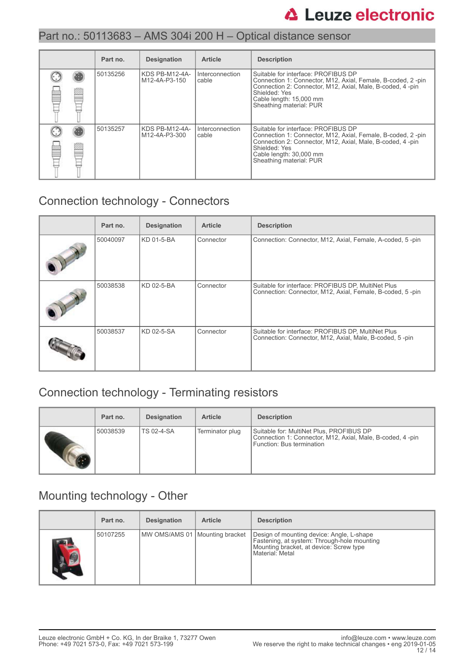|   | Part no. | <b>Designation</b>              | <b>Article</b>             | <b>Description</b>                                                                                                                                                                                                                     |
|---|----------|---------------------------------|----------------------------|----------------------------------------------------------------------------------------------------------------------------------------------------------------------------------------------------------------------------------------|
|   | 50135256 | KDS PB-M12-4A-<br>M12-4A-P3-150 | I Interconnection<br>cable | Suitable for interface: PROFIBUS DP<br>Connection 1: Connector, M12, Axial, Female, B-coded, 2-pin<br>Connection 2: Connector, M12, Axial, Male, B-coded, 4-pin<br>Shielded: Yes<br>Cable length: 15,000 mm<br>Sheathing material: PUR |
| Ē | 50135257 | KDS PB-M12-4A-<br>M12-4A-P3-300 | l Interconnection<br>cable | Suitable for interface: PROFIBUS DP<br>Connection 1: Connector, M12, Axial, Female, B-coded, 2-pin<br>Connection 2: Connector, M12, Axial, Male, B-coded, 4-pin<br>Shielded: Yes<br>Cable length: 30,000 mm<br>Sheathing material: PUR |

## Connection technology - Connectors

| Part no. | <b>Designation</b> | <b>Article</b> | <b>Description</b>                                                                                              |
|----------|--------------------|----------------|-----------------------------------------------------------------------------------------------------------------|
| 50040097 | KD 01-5-BA         | Connector      | Connection: Connector, M12, Axial, Female, A-coded, 5-pin                                                       |
| 50038538 | KD 02-5-BA         | Connector      | Suitable for interface: PROFIBUS DP, MultiNet Plus<br>Connection: Connector, M12, Axial, Female, B-coded, 5-pin |
| 50038537 | KD 02-5-SA         | Connector      | Suitable for interface: PROFIBUS DP, MultiNet Plus<br>Connection: Connector, M12, Axial, Male, B-coded, 5-pin   |

## Connection technology - Terminating resistors

| Part no. | <b>Designation</b> | <b>Article</b>  | <b>Description</b>                                                                                                                  |
|----------|--------------------|-----------------|-------------------------------------------------------------------------------------------------------------------------------------|
| 50038539 | <b>TS 02-4-SA</b>  | Terminator plug | Suitable for: MultiNet Plus, PROFIBUS DP<br>Connection 1: Connector, M12, Axial, Male, B-coded, 4 -pin<br>Function: Bus termination |

### Mounting technology - Other

|     | Part no. | <b>Designation</b>               | <b>Article</b> | <b>Description</b>                                                                                                                                     |
|-----|----------|----------------------------------|----------------|--------------------------------------------------------------------------------------------------------------------------------------------------------|
| AS. | 50107255 | MW OMS/AMS 01   Mounting bracket |                | Design of mounting device: Angle, L-shape<br>Fastening, at system: Through-hole mounting<br>Mounting bracket, at device: Screw type<br>Material: Metal |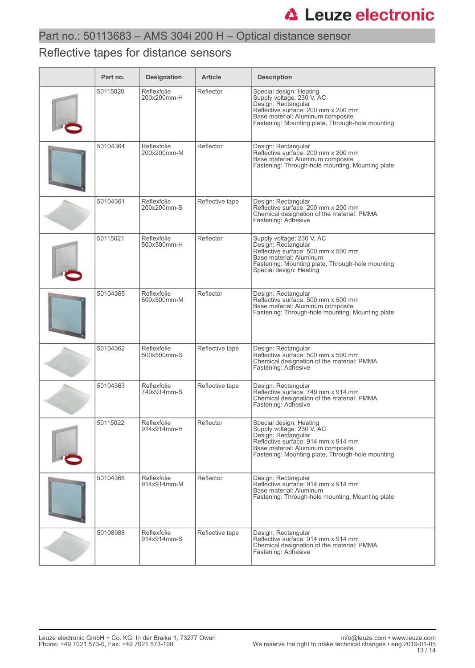## Reflective tapes for distance sensors

| Part no. | <b>Designation</b>         | <b>Article</b>  | <b>Description</b>                                                                                                                                                                                          |
|----------|----------------------------|-----------------|-------------------------------------------------------------------------------------------------------------------------------------------------------------------------------------------------------------|
| 50115020 | Reflexfolie<br>200x200mm-H | Reflector       | Special design: Heating<br>Supply voltage: 230 V, AC<br>Design: Rectangular<br>Reflective surface: 200 mm x 200 mm<br>Base material: Aluminum composite<br>Fastening: Mounting plate, Through-hole mounting |
| 50104364 | Reflexfolie<br>200x200mm-M | Reflector       | Design: Rectangular<br>Reflective surface: 200 mm x 200 mm<br>Base material: Aluminum composite<br>Fastening: Through-hole mounting, Mounting plate                                                         |
| 50104361 | Reflexfolie<br>200x200mm-S | Reflective tape | Design: Rectangular<br>Reflective surface: 200 mm x 200 mm<br>Chemical designation of the material: PMMA<br>Fastening: Adhesive                                                                             |
| 50115021 | Reflexfolie<br>500x500mm-H | Reflector       | Supply voltage: 230 V, AC<br>Design: Rectangular<br>Reflective surface: 500 mm x 500 mm<br>Base material: Aluminum<br>Fastening: Mounting plate, Through-hole mounting<br>Special design: Heating           |
| 50104365 | Reflexfolie<br>500x500mm-M | Reflector       | Design: Rectangular<br>Reflective surface: 500 mm x 500 mm<br>Base material: Aluminum composite<br>Fastening: Through-hole mounting, Mounting plate                                                         |
| 50104362 | Reflexfolie<br>500x500mm-S | Reflective tape | Design: Rectangular<br>Reflective surface: 500 mm x 500 mm<br>Chemical designation of the material: PMMA<br>Fastening: Adhesive                                                                             |
| 50104363 | Reflexfolie<br>749x914mm-S | Reflective tape | Design: Rectangular<br>Reflective surface: 749 mm x 914 mm<br>Chemical designation of the material: PMMA<br>Fastening: Adhesive                                                                             |
| 50115022 | Reflexfolie<br>914x914mm-H | Reflector       | Special design: Heating<br>Supply voltage: 230 V, AC<br>Design: Rectangular<br>Reflective surface: 914 mm x 914 mm<br>Base material: Aluminum composite<br>Fastening: Mounting plate, Through-hole mounting |
| 50104366 | Reflexfolie<br>914x914mm-M | Reflector       | Design: Rectangular<br>Reflective surface: 914 mm x 914 mm<br>Base material: Aluminum<br>Fastening: Through-hole mounting, Mounting plate                                                                   |
| 50108988 | Reflexfolie<br>914x914mm-S | Reflective tape | Design: Rectangular<br>Reflective surface: 914 mm x 914 mm<br>Chemical designation of the material: PMMA<br>Fastening: Adhesive                                                                             |